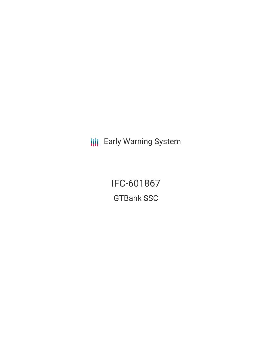**III** Early Warning System

IFC-601867 GTBank SSC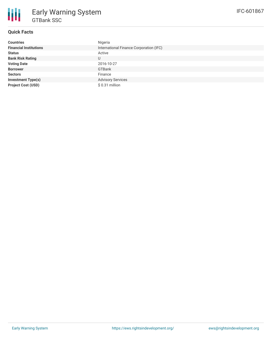

# **Quick Facts**

| <b>Countries</b>              | Nigeria                                 |
|-------------------------------|-----------------------------------------|
| <b>Financial Institutions</b> | International Finance Corporation (IFC) |
| <b>Status</b>                 | Active                                  |
| <b>Bank Risk Rating</b>       | U                                       |
| <b>Voting Date</b>            | 2016-10-27                              |
| <b>Borrower</b>               | GTBank                                  |
| <b>Sectors</b>                | Finance                                 |
| <b>Investment Type(s)</b>     | <b>Advisory Services</b>                |
| <b>Project Cost (USD)</b>     | $$0.31$ million                         |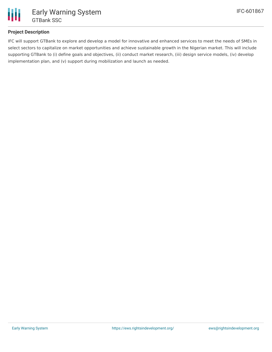

# **Project Description**

IFC will support GTBank to explore and develop a model for innovative and enhanced services to meet the needs of SMEs in select sectors to capitalize on market opportunities and achieve sustainable growth in the Nigerian market. This will include supporting GTBank to (i) define goals and objectives, (ii) conduct market research, (iii) design service models, (iv) develop implementation plan, and (v) support during mobilization and launch as needed.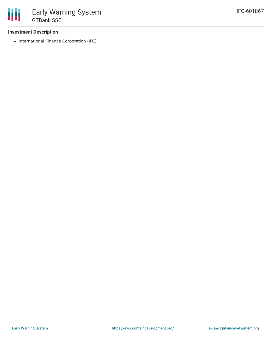### **Investment Description**

• International Finance Corporation (IFC)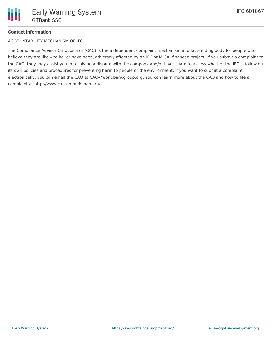## **Contact Information**

ACCOUNTABILITY MECHANISM OF IFC

The Compliance Advisor Ombudsman (CAO) is the independent complaint mechanism and fact-finding body for people who believe they are likely to be, or have been, adversely affected by an IFC or MIGA- financed project. If you submit a complaint to the CAO, they may assist you in resolving a dispute with the company and/or investigate to assess whether the IFC is following its own policies and procedures for preventing harm to people or the environment. If you want to submit a complaint electronically, you can email the CAO at CAO@worldbankgroup.org. You can learn more about the CAO and how to file a complaint at http://www.cao-ombudsman.org/